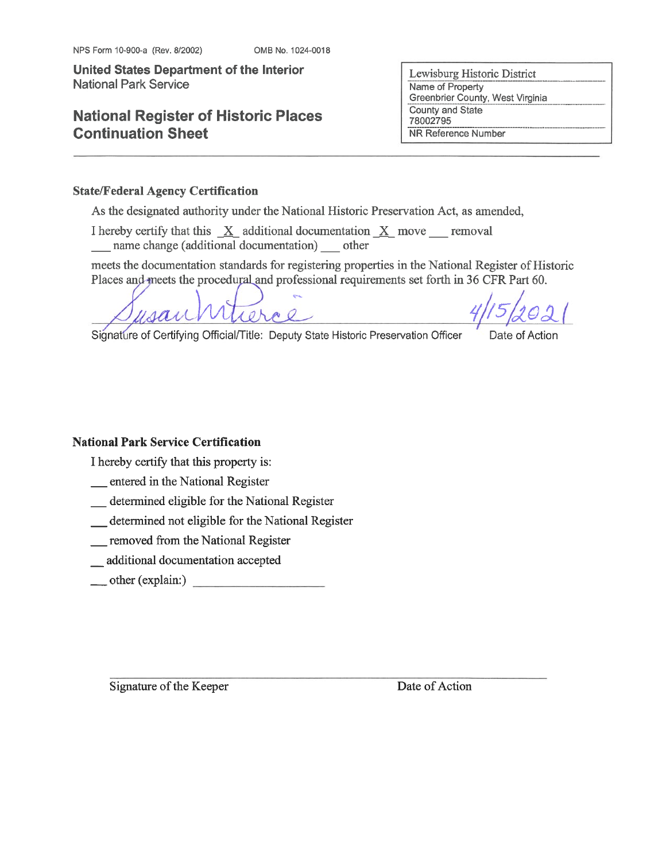## **National Register of Historic Places Continuation Sheet**

Lewisburg Historic District Name of Property Greenbrier County, West Virginia County and State 78002795 NR Reference Number

#### **State/Federal Agency Certification**

As the designated authority under the National Historic Preservation Act, as amended,

I hereby certify that this  $X$  additional documentation  $X$  move removal name change (additional documentation) other

meets the documentation standards for registering properties in the National Register of Historic Places and meets the procedural and professional requirements set forth in 36 CFR Part 60.

tierae

Date of Action

Signature of Certifying Official/Title: Deputy State Historic Preservation Officer

**National Park Service Certification** 

I hereby certify that this property is:

\_ entered in the National Register

- \_ determined eligible for the National Register
- \_determined not eligible for the National Register
- removed from the National Register
- \_\_ additional documentation accepted
- $\qquad$  other (explain:)

Signature of the Keeper

Date of Action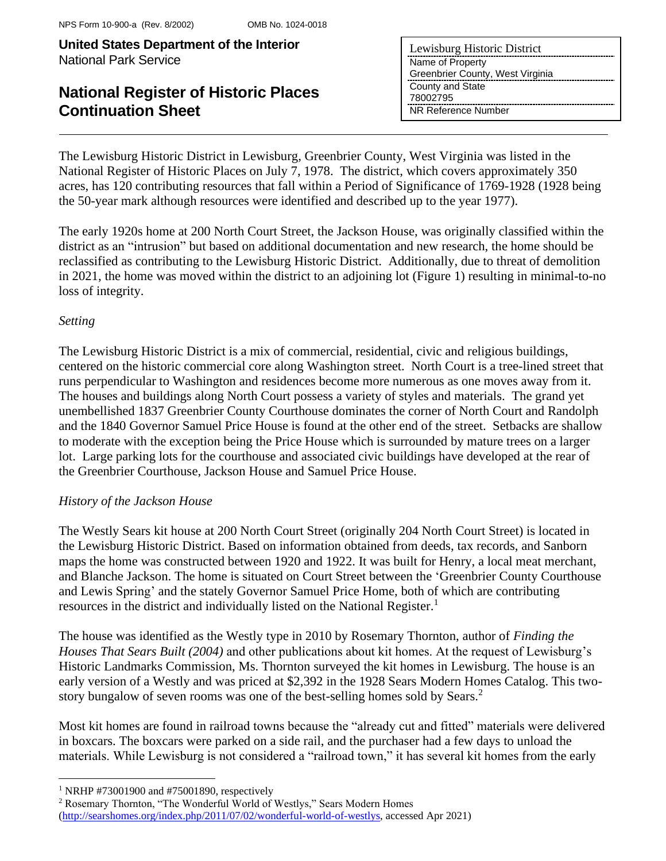# **National Register of Historic Places Continuation Sheet**

| Lewisburg Historic District      |
|----------------------------------|
| Name of Property                 |
| Greenbrier County, West Virginia |
| County and State                 |
| 78002795                         |
| NR Reference Number              |

The Lewisburg Historic District in Lewisburg, Greenbrier County, West Virginia was listed in the National Register of Historic Places on July 7, 1978. The district, which covers approximately 350 acres, has 120 contributing resources that fall within a Period of Significance of 1769-1928 (1928 being the 50-year mark although resources were identified and described up to the year 1977).

The early 1920s home at 200 North Court Street, the Jackson House, was originally classified within the district as an "intrusion" but based on additional documentation and new research, the home should be reclassified as contributing to the Lewisburg Historic District. Additionally, due to threat of demolition in 2021, the home was moved within the district to an adjoining lot (Figure 1) resulting in minimal-to-no loss of integrity.

## *Setting*

The Lewisburg Historic District is a mix of commercial, residential, civic and religious buildings, centered on the historic commercial core along Washington street. North Court is a tree-lined street that runs perpendicular to Washington and residences become more numerous as one moves away from it. The houses and buildings along North Court possess a variety of styles and materials. The grand yet unembellished 1837 Greenbrier County Courthouse dominates the corner of North Court and Randolph and the 1840 Governor Samuel Price House is found at the other end of the street. Setbacks are shallow to moderate with the exception being the Price House which is surrounded by mature trees on a larger lot. Large parking lots for the courthouse and associated civic buildings have developed at the rear of the Greenbrier Courthouse, Jackson House and Samuel Price House.

## *History of the Jackson House*

The Westly Sears kit house at 200 North Court Street (originally 204 North Court Street) is located in the Lewisburg Historic District. Based on information obtained from deeds, tax records, and Sanborn maps the home was constructed between 1920 and 1922. It was built for Henry, a local meat merchant, and Blanche Jackson. The home is situated on Court Street between the 'Greenbrier County Courthouse and Lewis Spring' and the stately Governor Samuel Price Home, both of which are contributing resources in the district and individually listed on the National Register.<sup>1</sup>

The house was identified as the Westly type in 2010 by Rosemary Thornton, author of *Finding the Houses That Sears Built (2004)* and other publications about kit homes. At the request of Lewisburg's Historic Landmarks Commission, Ms. Thornton surveyed the kit homes in Lewisburg. The house is an early version of a Westly and was priced at \$2,392 in the 1928 Sears Modern Homes Catalog. This twostory bungalow of seven rooms was one of the best-selling homes sold by Sears.<sup>2</sup>

Most kit homes are found in railroad towns because the "already cut and fitted" materials were delivered in boxcars. The boxcars were parked on a side rail, and the purchaser had a few days to unload the materials. While Lewisburg is not considered a "railroad town," it has several kit homes from the early

<sup>1</sup> NRHP #73001900 and #75001890, respectively

<sup>2</sup> Rosemary Thornton, "The Wonderful World of Westlys," Sears Modern Homes

[\(http://searshomes.org/index.php/2011/07/02/wonderful-world-of-westlys,](http://searshomes.org/index.php/2011/07/02/wonderful-world-of-westlys) accessed Apr 2021)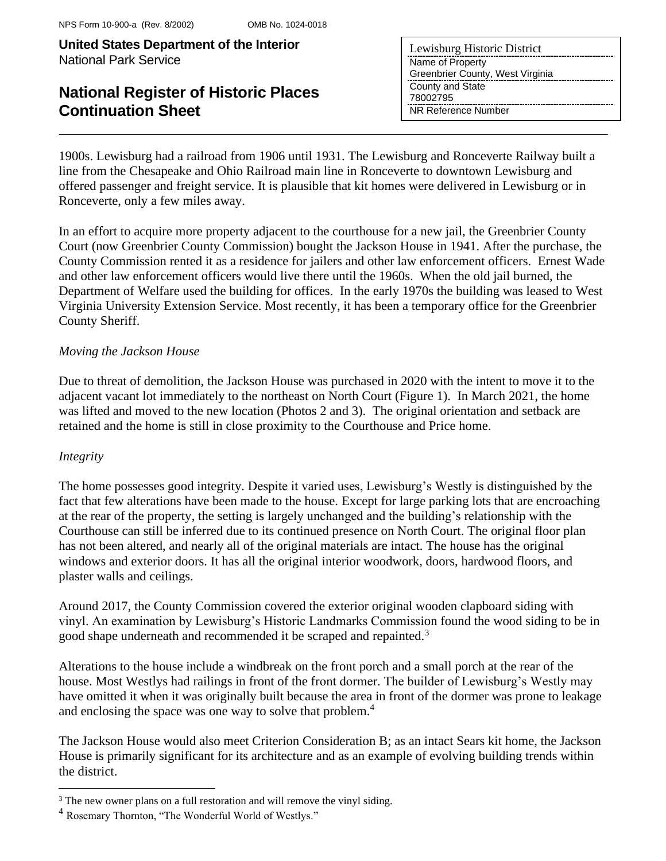# **National Register of Historic Places Continuation Sheet**

| Lewisburg Historic District      |
|----------------------------------|
| Name of Property                 |
| Greenbrier County, West Virginia |
| County and State                 |
| 78002795                         |
| NR Reference Number              |

1900s. Lewisburg had a railroad from 1906 until 1931. The Lewisburg and Ronceverte Railway built a line from the Chesapeake and Ohio Railroad main line in Ronceverte to downtown Lewisburg and offered passenger and freight service. It is plausible that kit homes were delivered in Lewisburg or in Ronceverte, only a few miles away.

In an effort to acquire more property adjacent to the courthouse for a new jail, the Greenbrier County Court (now Greenbrier County Commission) bought the Jackson House in 1941. After the purchase, the County Commission rented it as a residence for jailers and other law enforcement officers. Ernest Wade and other law enforcement officers would live there until the 1960s. When the old jail burned, the Department of Welfare used the building for offices. In the early 1970s the building was leased to West Virginia University Extension Service. Most recently, it has been a temporary office for the Greenbrier County Sheriff.

#### *Moving the Jackson House*

Due to threat of demolition, the Jackson House was purchased in 2020 with the intent to move it to the adjacent vacant lot immediately to the northeast on North Court (Figure 1). In March 2021, the home was lifted and moved to the new location (Photos 2 and 3). The original orientation and setback are retained and the home is still in close proximity to the Courthouse and Price home.

#### *Integrity*

The home possesses good integrity. Despite it varied uses, Lewisburg's Westly is distinguished by the fact that few alterations have been made to the house. Except for large parking lots that are encroaching at the rear of the property, the setting is largely unchanged and the building's relationship with the Courthouse can still be inferred due to its continued presence on North Court. The original floor plan has not been altered, and nearly all of the original materials are intact. The house has the original windows and exterior doors. It has all the original interior woodwork, doors, hardwood floors, and plaster walls and ceilings.

Around 2017, the County Commission covered the exterior original wooden clapboard siding with vinyl. An examination by Lewisburg's Historic Landmarks Commission found the wood siding to be in good shape underneath and recommended it be scraped and repainted.<sup>3</sup>

Alterations to the house include a windbreak on the front porch and a small porch at the rear of the house. Most Westlys had railings in front of the front dormer. The builder of Lewisburg's Westly may have omitted it when it was originally built because the area in front of the dormer was prone to leakage and enclosing the space was one way to solve that problem.<sup>4</sup>

The Jackson House would also meet Criterion Consideration B; as an intact Sears kit home, the Jackson House is primarily significant for its architecture and as an example of evolving building trends within the district.

<sup>&</sup>lt;sup>3</sup> The new owner plans on a full restoration and will remove the vinyl siding.

<sup>4</sup> Rosemary Thornton, "The Wonderful World of Westlys."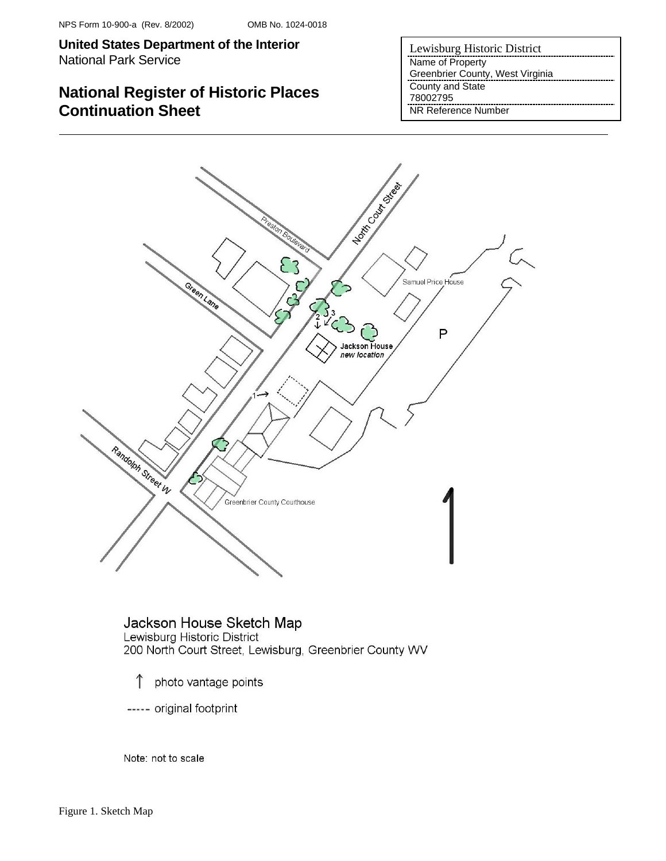## **National Register of Historic Places Continuation Sheet**

Lewisburg Historic District Name of Property Greenbrier County, West Virginia County and State 78002795 NR Reference Number



Jackson House Sketch Map Lewisburg Historic District 200 North Court Street, Lewisburg, Greenbrier County WV

- $\uparrow$ photo vantage points
- ----- original footprint

Note: not to scale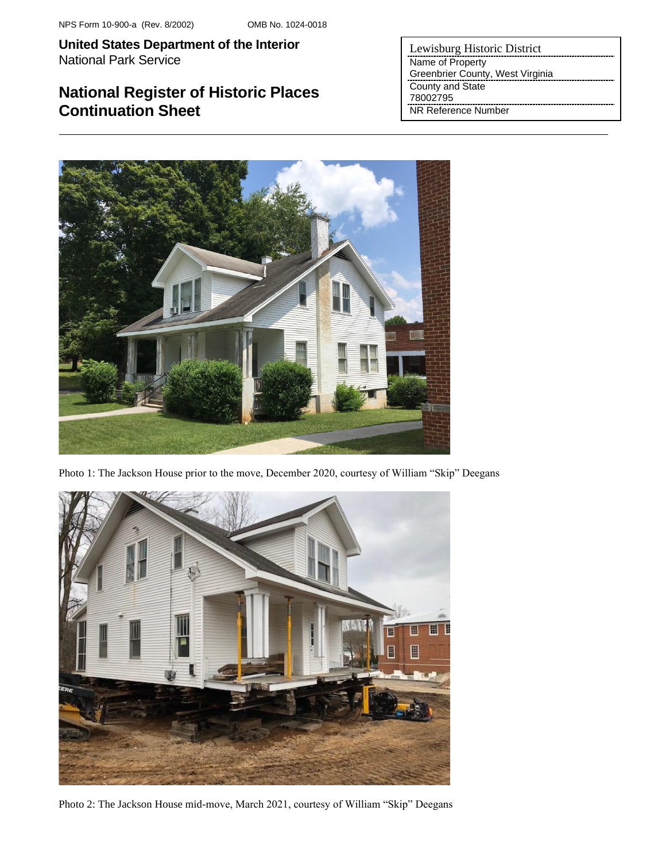## **National Register of Historic Places Continuation Sheet**

Lewisburg Historic District Name of Property Greenbrier County, West Virginia County and State 78002795 NR Reference Number



Photo 1: The Jackson House prior to the move, December 2020, courtesy of William "Skip" Deegans



Photo 2: The Jackson House mid-move, March 2021, courtesy of William "Skip" Deegans